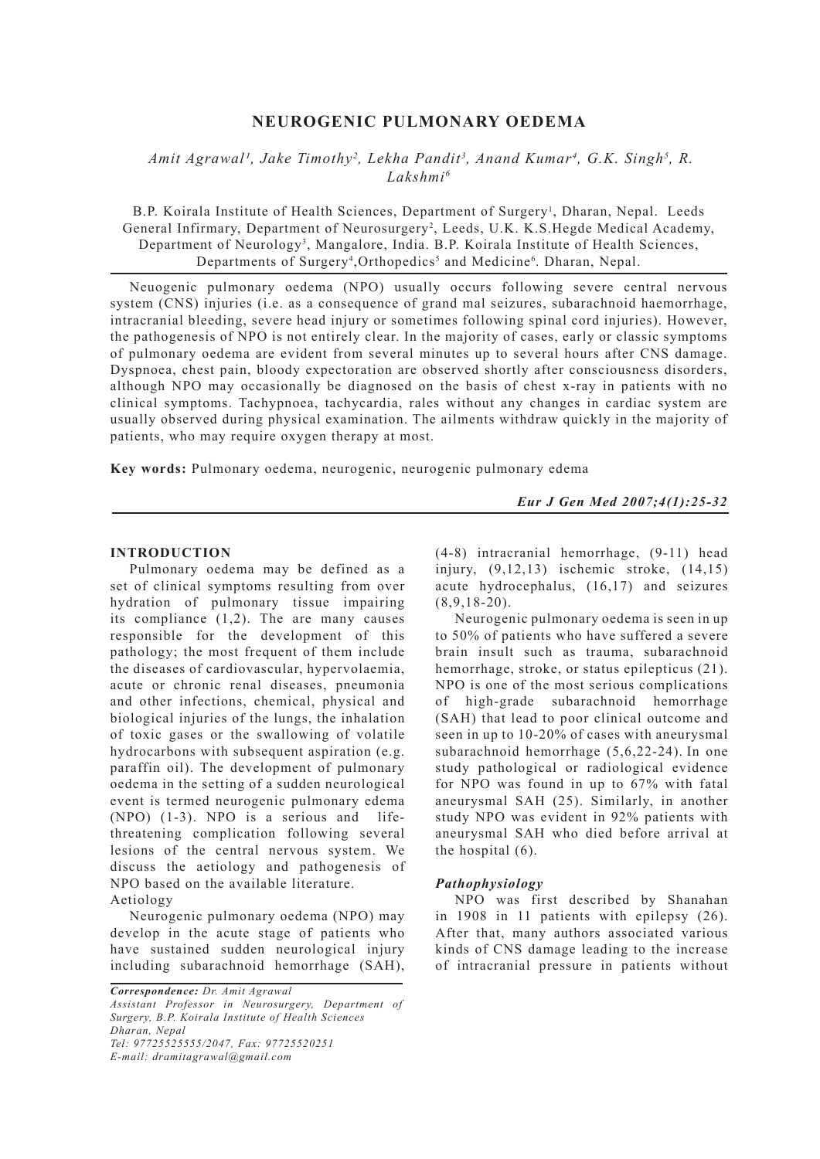# **NEUROGENIC PULMONARY OEDEMA**

# *Amit Agrawal<sup>1</sup>, Jake Timothy<sup>2</sup>, Lekha Pandit<sup>3</sup>, Anand Kumar<sup>4</sup>, G.K. Singh<sup>5</sup>, R. Lakshmi6*

B.P. Koirala Institute of Health Sciences, Department of Surgery<sup>1</sup>, Dharan, Nepal. Leeds General Infirmary, Department of Neurosurgery<sup>2</sup>, Leeds, U.K. K.S.Hegde Medical Academy, Department of Neurology<sup>3</sup>, Mangalore, India. B.P. Koirala Institute of Health Sciences, Departments of Surgery<sup>4</sup>, Orthopedics<sup>5</sup> and Medicine<sup>6</sup>. Dharan, Nepal.

Neuogenic pulmonary oedema (NPO) usually occurs following severe central nervous system (CNS) injuries (i.e. as a consequence of grand mal seizures, subarachnoid haemorrhage, intracranial bleeding, severe head injury or sometimes following spinal cord injuries). However, the pathogenesis of NPO is not entirely clear. In the majority of cases, early or classic symptoms of pulmonary oedema are evident from several minutes up to several hours after CNS damage. Dyspnoea, chest pain, bloody expectoration are observed shortly after consciousness disorders, although NPO may occasionally be diagnosed on the basis of chest x-ray in patients with no clinical symptoms. Tachypnoea, tachycardia, rales without any changes in cardiac system are usually observed during physical examination. The ailments withdraw quickly in the majority of patients, who may require oxygen therapy at most.

**Key words:** Pulmonary oedema, neurogenic, neurogenic pulmonary edema

*Eur J Gen Med 2007;4(1):25-32*

## **INTRODUCTION**

Pulmonary oedema may be defined as a set of clinical symptoms resulting from over hydration of pulmonary tissue impairing its compliance (1,2). The are many causes responsible for the development of this pathology; the most frequent of them include the diseases of cardiovascular, hypervolaemia, acute or chronic renal diseases, pneumonia and other infections, chemical, physical and biological injuries of the lungs, the inhalation of toxic gases or the swallowing of volatile hydrocarbons with subsequent aspiration (e.g. paraffin oil). The development of pulmonary oedema in the setting of a sudden neurological event is termed neurogenic pulmonary edema (NPO) (1-3). NPO is a serious and lifethreatening complication following several lesions of the central nervous system. We discuss the aetiology and pathogenesis of NPO based on the available literature. Aetiology

Neurogenic pulmonary oedema (NPO) may develop in the acute stage of patients who have sustained sudden neurological injury including subarachnoid hemorrhage (SAH),

*Correspondence: Dr. Amit Agrawal Assistant Professor in Neurosurgery, Department of Surgery, B.P. Koirala Institute of Health Sciences Dharan, Nepal Tel: 97725525555/2047, Fax: 97725520251 E-mail: dramitagrawal@gmail.com*

(4-8) intracranial hemorrhage, (9-11) head injury, (9,12,13) ischemic stroke, (14,15) acute hydrocephalus, (16,17) and seizures  $(8,9,18-20)$ .

Neurogenic pulmonary oedema is seen in up to 50% of patients who have suffered a severe brain insult such as trauma, subarachnoid hemorrhage, stroke, or status epilepticus (21). NPO is one of the most serious complications of high-grade subarachnoid hemorrhage (SAH) that lead to poor clinical outcome and seen in up to 10-20% of cases with aneurysmal subarachnoid hemorrhage (5,6,22-24). In one study pathological or radiological evidence for NPO was found in up to 67% with fatal aneurysmal SAH (25). Similarly, in another study NPO was evident in 92% patients with aneurysmal SAH who died before arrival at the hospital (6).

#### *Pathophysiology*

NPO was first described by Shanahan in 1908 in 11 patients with epilepsy (26). After that, many authors associated various kinds of CNS damage leading to the increase of intracranial pressure in patients without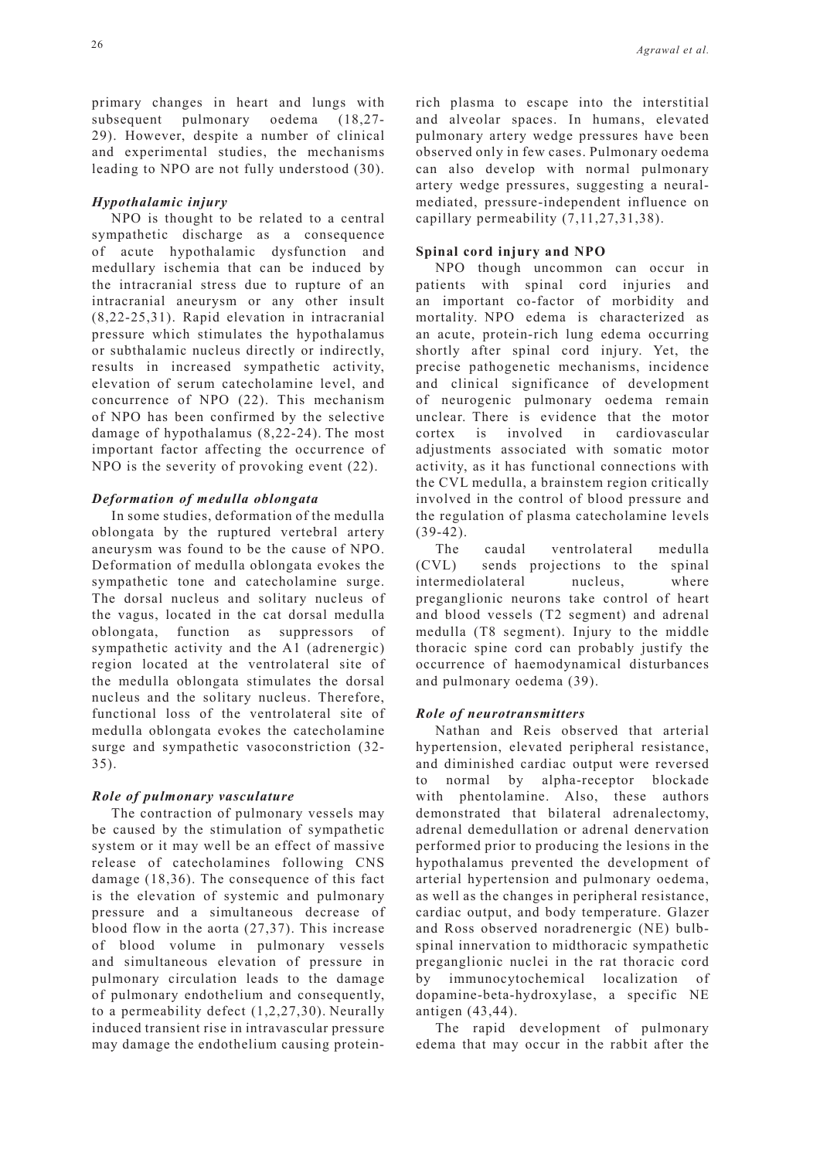primary changes in heart and lungs with subsequent pulmonary oedema (18,27- 29). However, despite a number of clinical and experimental studies, the mechanisms leading to NPO are not fully understood (30).

## *Hypothalamic injury*

NPO is thought to be related to a central sympathetic discharge as a consequence of acute hypothalamic dysfunction and medullary ischemia that can be induced by the intracranial stress due to rupture of an intracranial aneurysm or any other insult (8,22-25,31). Rapid elevation in intracranial pressure which stimulates the hypothalamus or subthalamic nucleus directly or indirectly, results in increased sympathetic activity, elevation of serum catecholamine level, and concurrence of NPO (22). This mechanism of NPO has been confirmed by the selective damage of hypothalamus (8,22-24). The most important factor affecting the occurrence of NPO is the severity of provoking event (22).

# *Deformation of medulla oblongata*

In some studies, deformation of the medulla oblongata by the ruptured vertebral artery aneurysm was found to be the cause of NPO. Deformation of medulla oblongata evokes the sympathetic tone and catecholamine surge. The dorsal nucleus and solitary nucleus of the vagus, located in the cat dorsal medulla oblongata, function as suppressors of sympathetic activity and the A1 (adrenergic) region located at the ventrolateral site of the medulla oblongata stimulates the dorsal nucleus and the solitary nucleus. Therefore, functional loss of the ventrolateral site of medulla oblongata evokes the catecholamine surge and sympathetic vasoconstriction (32- 35).

# *Role of pulmonary vasculature*

The contraction of pulmonary vessels may be caused by the stimulation of sympathetic system or it may well be an effect of massive release of catecholamines following CNS damage (18,36). The consequence of this fact is the elevation of systemic and pulmonary pressure and a simultaneous decrease of blood flow in the aorta (27,37). This increase of blood volume in pulmonary vessels and simultaneous elevation of pressure in pulmonary circulation leads to the damage of pulmonary endothelium and consequently, to a permeability defect (1,2,27,30). Neurally induced transient rise in intravascular pressure may damage the endothelium causing proteinrich plasma to escape into the interstitial and alveolar spaces. In humans, elevated pulmonary artery wedge pressures have been observed only in few cases. Pulmonary oedema can also develop with normal pulmonary artery wedge pressures, suggesting a neuralmediated, pressure-independent influence on capillary permeability (7,11,27,31,38).

# **Spinal cord injury and NPO**

NPO though uncommon can occur in patients with spinal cord injuries and an important co-factor of morbidity and mortality. NPO edema is characterized as an acute, protein-rich lung edema occurring shortly after spinal cord injury. Yet, the precise pathogenetic mechanisms, incidence and clinical significance of development of neurogenic pulmonary oedema remain unclear. There is evidence that the motor<br>cortex is involved in cardiovascular cortex is involved in cardiovascular adjustments associated with somatic motor activity, as it has functional connections with the CVL medulla, a brainstem region critically involved in the control of blood pressure and the regulation of plasma catecholamine levels (39-42).

The caudal ventrolateral medulla (CVL) sends projections to the spinal intermediolateral nucleus, where preganglionic neurons take control of heart and blood vessels (T2 segment) and adrenal medulla (T8 segment). Injury to the middle thoracic spine cord can probably justify the occurrence of haemodynamical disturbances and pulmonary oedema (39).

# *Role of neurotransmitters*

Nathan and Reis observed that arterial hypertension, elevated peripheral resistance, and diminished cardiac output were reversed to normal by alpha-receptor blockade with phentolamine. Also, these authors demonstrated that bilateral adrenalectomy, adrenal demedullation or adrenal denervation performed prior to producing the lesions in the hypothalamus prevented the development of arterial hypertension and pulmonary oedema, as well as the changes in peripheral resistance, cardiac output, and body temperature. Glazer and Ross observed noradrenergic (NE) bulbspinal innervation to midthoracic sympathetic preganglionic nuclei in the rat thoracic cord by immunocytochemical localization of dopamine-beta-hydroxylase, a specific NE antigen (43,44).

The rapid development of pulmonary edema that may occur in the rabbit after the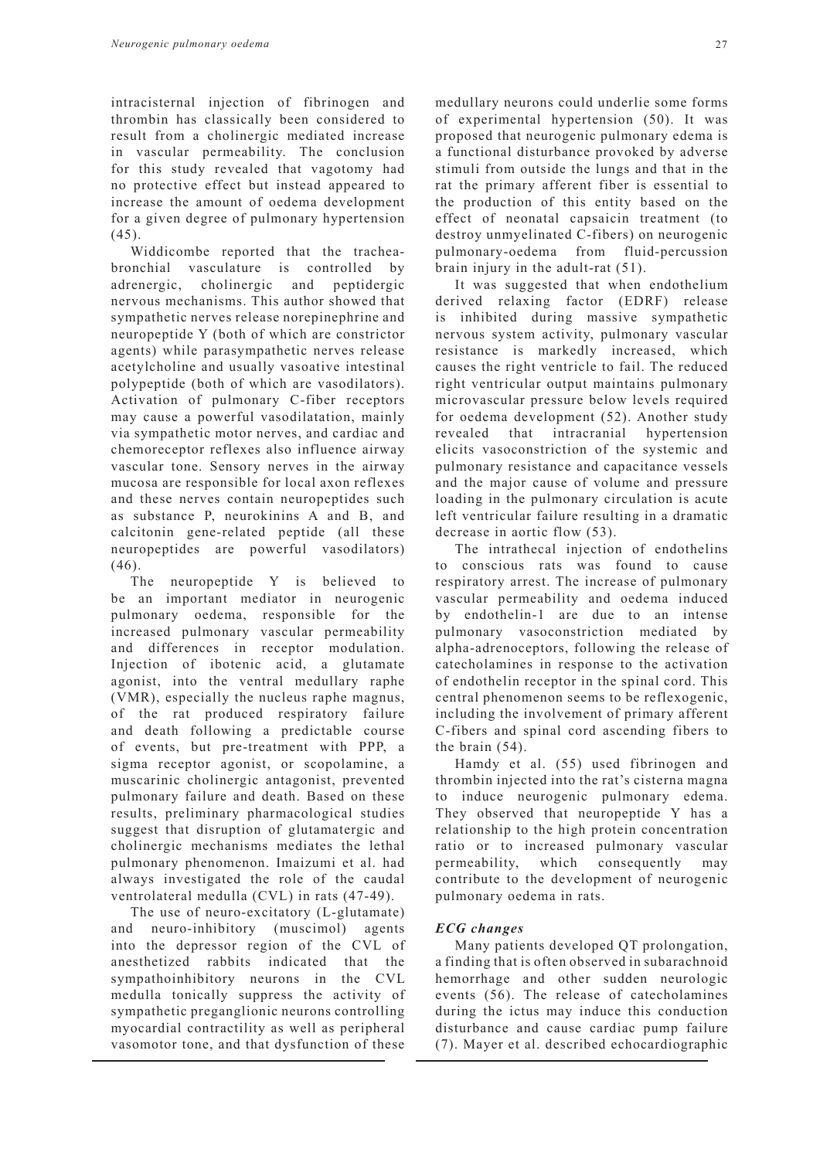intracisternal injection of fibrinogen and thrombin has classically been considered to result from a cholinergic mediated increase in vascular permeability. The conclusion for this study revealed that vagotomy had no protective effect but instead appeared to increase the amount of oedema development for a given degree of pulmonary hypertension  $(45)$ .

Widdicombe reported that the tracheabronchial vasculature is controlled by adrenergic, cholinergic and peptidergic nervous mechanisms. This author showed that sympathetic nerves release norepinephrine and neuropeptide Y (both of which are constrictor agents) while parasympathetic nerves release acetylcholine and usually vasoative intestinal polypeptide (both of which are vasodilators). Activation of pulmonary C-fiber receptors may cause a powerful vasodilatation, mainly via sympathetic motor nerves, and cardiac and chemoreceptor reflexes also influence airway vascular tone. Sensory nerves in the airway mucosa are responsible for local axon reflexes and these nerves contain neuropeptides such as substance P, neurokinins A and B, and calcitonin gene-related peptide (all these neuropeptides are powerful vasodilators) (46).

The neuropeptide Y is believed to be an important mediator in neurogenic pulmonary oedema, responsible for the increased pulmonary vascular permeability and differences in receptor modulation. Injection of ibotenic acid, a glutamate agonist, into the ventral medullary raphe (VMR), especially the nucleus raphe magnus, of the rat produced respiratory failure and death following a predictable course of events, but pre-treatment with PPP, a sigma receptor agonist, or scopolamine, a muscarinic cholinergic antagonist, prevented pulmonary failure and death. Based on these results, preliminary pharmacological studies suggest that disruption of glutamatergic and cholinergic mechanisms mediates the lethal pulmonary phenomenon. Imaizumi et al. had always investigated the role of the caudal ventrolateral medulla (CVL) in rats (47-49).

The use of neuro-excitatory (L-glutamate) and neuro-inhibitory (muscimol) agents into the depressor region of the CVL of anesthetized rabbits indicated that the sympathoinhibitory neurons in the CVL medulla tonically suppress the activity of sympathetic preganglionic neurons controlling myocardial contractility as well as peripheral vasomotor tone, and that dysfunction of these

medullary neurons could underlie some forms of experimental hypertension (50). It was proposed that neurogenic pulmonary edema is a functional disturbance provoked by adverse stimuli from outside the lungs and that in the rat the primary afferent fiber is essential to the production of this entity based on the effect of neonatal capsaicin treatment (to destroy unmyelinated C-fibers) on neurogenic pulmonary-oedema from fluid-percussion brain injury in the adult-rat (51).

It was suggested that when endothelium derived relaxing factor (EDRF) release is inhibited during massive sympathetic nervous system activity, pulmonary vascular resistance is markedly increased, which causes the right ventricle to fail. The reduced right ventricular output maintains pulmonary microvascular pressure below levels required for oedema development (52). Another study revealed that intracranial hypertension elicits vasoconstriction of the systemic and pulmonary resistance and capacitance vessels and the major cause of volume and pressure loading in the pulmonary circulation is acute left ventricular failure resulting in a dramatic decrease in aortic flow (53).

The intrathecal injection of endothelins to conscious rats was found to cause respiratory arrest. The increase of pulmonary vascular permeability and oedema induced by endothelin-1 are due to an intense pulmonary vasoconstriction mediated by alpha-adrenoceptors, following the release of catecholamines in response to the activation of endothelin receptor in the spinal cord. This central phenomenon seems to be reflexogenic, including the involvement of primary afferent C-fibers and spinal cord ascending fibers to the brain (54).

Hamdy et al. (55) used fibrinogen and thrombin injected into the rat's cisterna magna to induce neurogenic pulmonary edema. They observed that neuropeptide Y has a relationship to the high protein concentration ratio or to increased pulmonary vascular permeability, which consequently may contribute to the development of neurogenic pulmonary oedema in rats.

### *ECG changes*

Many patients developed QT prolongation, a finding that is often observed in subarachnoid hemorrhage and other sudden neurologic events (56). The release of catecholamines during the ictus may induce this conduction disturbance and cause cardiac pump failure (7). Mayer et al. described echocardiographic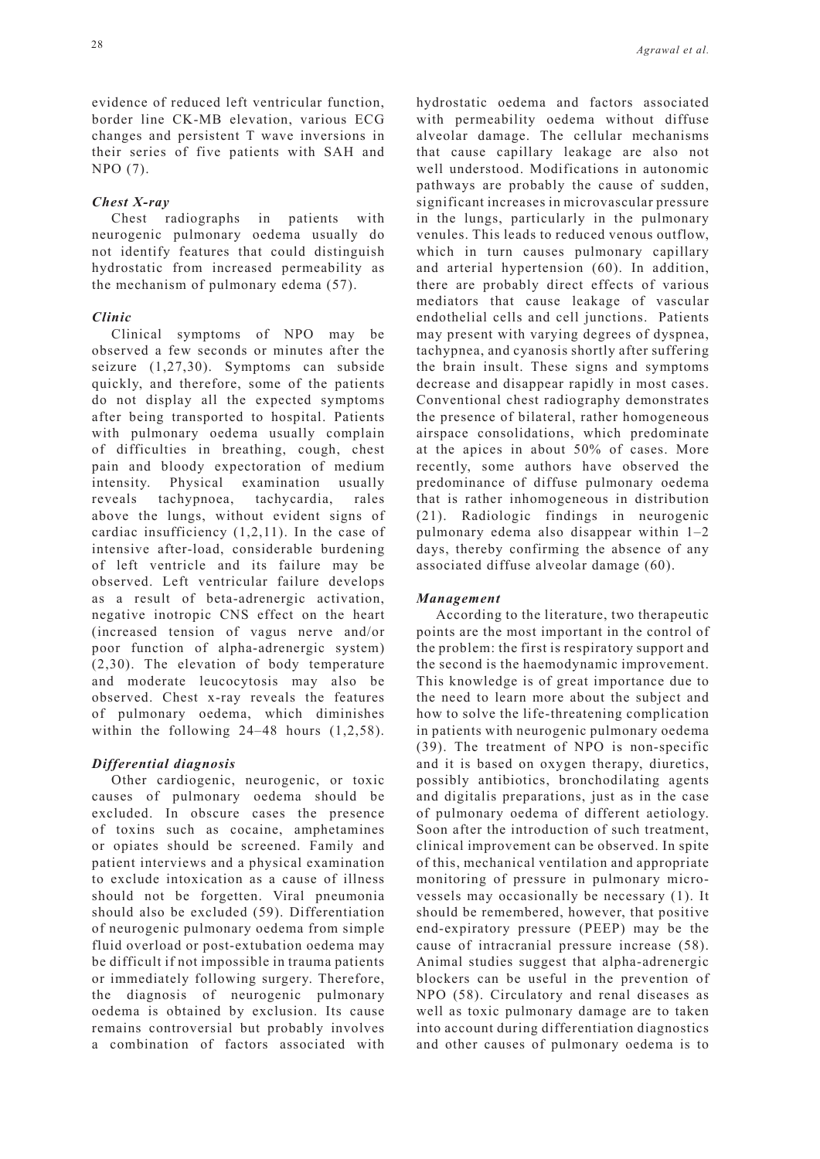evidence of reduced left ventricular function, border line CK-MB elevation, various ECG changes and persistent T wave inversions in their series of five patients with SAH and NPO (7).

## *Chest X-ray*

Chest radiographs in patients with neurogenic pulmonary oedema usually do not identify features that could distinguish hydrostatic from increased permeability as the mechanism of pulmonary edema (57).

## *Clinic*

Clinical symptoms of NPO may be observed a few seconds or minutes after the seizure (1,27,30). Symptoms can subside quickly, and therefore, some of the patients do not display all the expected symptoms after being transported to hospital. Patients with pulmonary oedema usually complain of difficulties in breathing, cough, chest pain and bloody expectoration of medium intensity. Physical examination usually reveals tachypnoea, tachycardia, rales above the lungs, without evident signs of cardiac insufficiency (1,2,11). In the case of intensive after-load, considerable burdening of left ventricle and its failure may be observed. Left ventricular failure develops as a result of beta-adrenergic activation, negative inotropic CNS effect on the heart (increased tension of vagus nerve and/or poor function of alpha-adrenergic system) (2,30). The elevation of body temperature and moderate leucocytosis may also be observed. Chest x-ray reveals the features of pulmonary oedema, which diminishes within the following 24–48 hours  $(1,2,58)$ .

## *Differential diagnosis*

Other cardiogenic, neurogenic, or toxic causes of pulmonary oedema should be excluded. In obscure cases the presence of toxins such as cocaine, amphetamines or opiates should be screened. Family and patient interviews and a physical examination to exclude intoxication as a cause of illness should not be forgetten. Viral pneumonia should also be excluded (59). Differentiation of neurogenic pulmonary oedema from simple fluid overload or post-extubation oedema may be difficult if not impossible in trauma patients or immediately following surgery. Therefore, the diagnosis of neurogenic pulmonary oedema is obtained by exclusion. Its cause remains controversial but probably involves a combination of factors associated with hydrostatic oedema and factors associated with permeability oedema without diffuse alveolar damage. The cellular mechanisms that cause capillary leakage are also not well understood. Modifications in autonomic pathways are probably the cause of sudden, significant increases in microvascular pressure in the lungs, particularly in the pulmonary venules. This leads to reduced venous outflow, which in turn causes pulmonary capillary and arterial hypertension (60). In addition, there are probably direct effects of various mediators that cause leakage of vascular endothelial cells and cell junctions. Patients may present with varying degrees of dyspnea, tachypnea, and cyanosis shortly after suffering the brain insult. These signs and symptoms decrease and disappear rapidly in most cases. Conventional chest radiography demonstrates the presence of bilateral, rather homogeneous airspace consolidations, which predominate at the apices in about 50% of cases. More recently, some authors have observed the predominance of diffuse pulmonary oedema that is rather inhomogeneous in distribution (21). Radiologic findings in neurogenic pulmonary edema also disappear within 1–2 days, thereby confirming the absence of any associated diffuse alveolar damage (60).

### *Management*

According to the literature, two therapeutic points are the most important in the control of the problem: the first is respiratory support and the second is the haemodynamic improvement. This knowledge is of great importance due to the need to learn more about the subject and how to solve the life-threatening complication in patients with neurogenic pulmonary oedema (39). The treatment of NPO is non-specific and it is based on oxygen therapy, diuretics, possibly antibiotics, bronchodilating agents and digitalis preparations, just as in the case of pulmonary oedema of different aetiology. Soon after the introduction of such treatment, clinical improvement can be observed. In spite of this, mechanical ventilation and appropriate monitoring of pressure in pulmonary microvessels may occasionally be necessary (1). It should be remembered, however, that positive end-expiratory pressure (PEEP) may be the cause of intracranial pressure increase (58). Animal studies suggest that alpha-adrenergic blockers can be useful in the prevention of NPO (58). Circulatory and renal diseases as well as toxic pulmonary damage are to taken into account during differentiation diagnostics and other causes of pulmonary oedema is to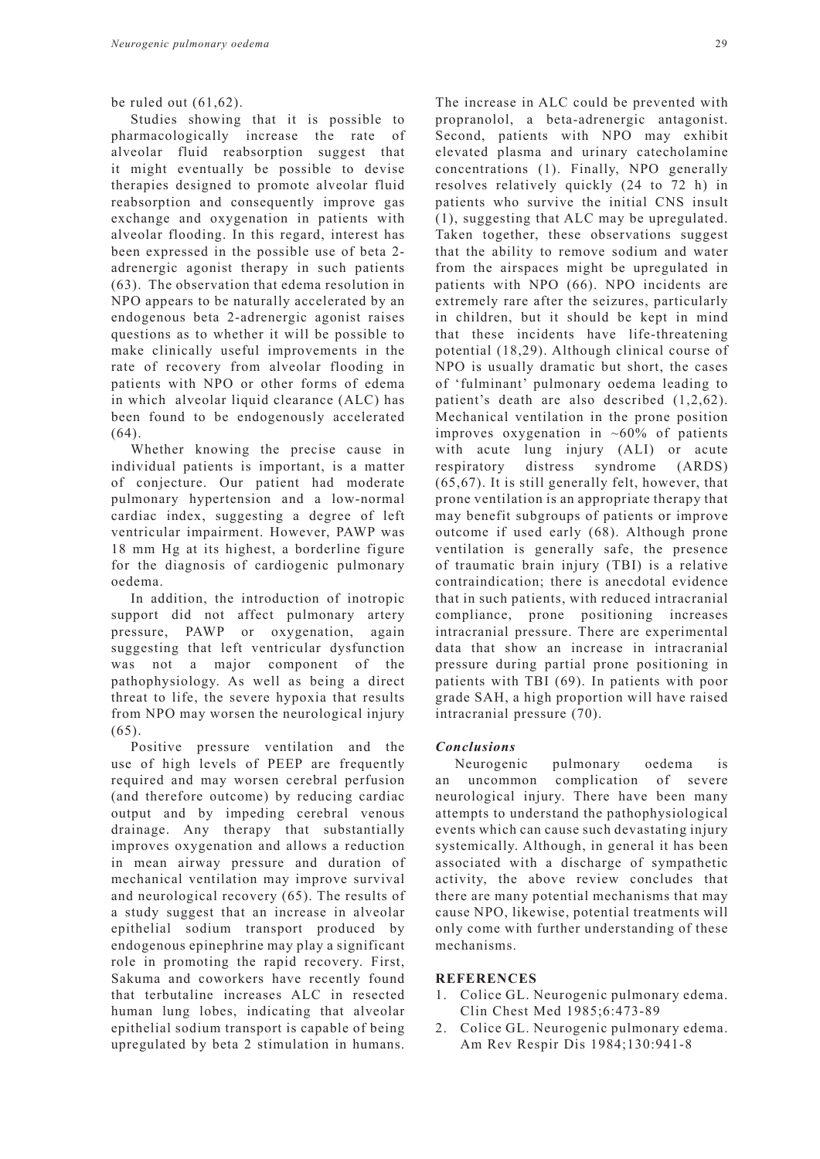Studies showing that it is possible to pharmacologically increase the rate of alveolar fluid reabsorption suggest that it might eventually be possible to devise therapies designed to promote alveolar fluid reabsorption and consequently improve gas exchange and oxygenation in patients with alveolar flooding. In this regard, interest has been expressed in the possible use of beta 2 adrenergic agonist therapy in such patients (63). The observation that edema resolution in NPO appears to be naturally accelerated by an endogenous beta 2-adrenergic agonist raises questions as to whether it will be possible to make clinically useful improvements in the rate of recovery from alveolar flooding in patients with NPO or other forms of edema in which alveolar liquid clearance (ALC) has been found to be endogenously accelerated  $(64)$ .

Whether knowing the precise cause in individual patients is important, is a matter of conjecture. Our patient had moderate pulmonary hypertension and a low-normal cardiac index, suggesting a degree of left ventricular impairment. However, PAWP was 18 mm Hg at its highest, a borderline figure for the diagnosis of cardiogenic pulmonary oedema.

In addition, the introduction of inotropic support did not affect pulmonary artery pressure, PAWP or oxygenation, again suggesting that left ventricular dysfunction was not a major component of the pathophysiology. As well as being a direct threat to life, the severe hypoxia that results from NPO may worsen the neurological injury (65).

Positive pressure ventilation and the use of high levels of PEEP are frequently required and may worsen cerebral perfusion (and therefore outcome) by reducing cardiac output and by impeding cerebral venous drainage. Any therapy that substantially improves oxygenation and allows a reduction in mean airway pressure and duration of mechanical ventilation may improve survival and neurological recovery (65). The results of a study suggest that an increase in alveolar epithelial sodium transport produced by endogenous epinephrine may play a significant role in promoting the rapid recovery. First, Sakuma and coworkers have recently found that terbutaline increases ALC in resected human lung lobes, indicating that alveolar epithelial sodium transport is capable of being upregulated by beta 2 stimulation in humans.

The increase in ALC could be prevented with propranolol, a beta-adrenergic antagonist. Second, patients with NPO may exhibit elevated plasma and urinary catecholamine concentrations (1). Finally, NPO generally resolves relatively quickly (24 to 72 h) in patients who survive the initial CNS insult (1), suggesting that ALC may be upregulated. Taken together, these observations suggest that the ability to remove sodium and water from the airspaces might be upregulated in patients with NPO (66). NPO incidents are extremely rare after the seizures, particularly in children, but it should be kept in mind that these incidents have life-threatening potential (18,29). Although clinical course of NPO is usually dramatic but short, the cases of 'fulminant' pulmonary oedema leading to patient's death are also described (1,2,62). Mechanical ventilation in the prone position improves oxygenation in  $~10\%$  of patients with acute lung injury (ALI) or acute respiratory distress syndrome (ARDS) (65,67). It is still generally felt, however, that prone ventilation is an appropriate therapy that may benefit subgroups of patients or improve outcome if used early (68). Although prone ventilation is generally safe, the presence of traumatic brain injury (TBI) is a relative contraindication; there is anecdotal evidence that in such patients, with reduced intracranial compliance, prone positioning increases intracranial pressure. There are experimental data that show an increase in intracranial pressure during partial prone positioning in patients with TBI (69). In patients with poor grade SAH, a high proportion will have raised intracranial pressure (70).

### *Conclusions*

Neurogenic pulmonary oedema is an uncommon complication of severe neurological injury. There have been many attempts to understand the pathophysiological events which can cause such devastating injury systemically. Although, in general it has been associated with a discharge of sympathetic activity, the above review concludes that there are many potential mechanisms that may cause NPO, likewise, potential treatments will only come with further understanding of these mechanisms.

### **REFERENCES**

- 1. Colice GL. Neurogenic pulmonary edema. Clin Chest Med 1985;6:473-89
- 2. Colice GL. Neurogenic pulmonary edema. Am Rev Respir Dis 1984;130:941-8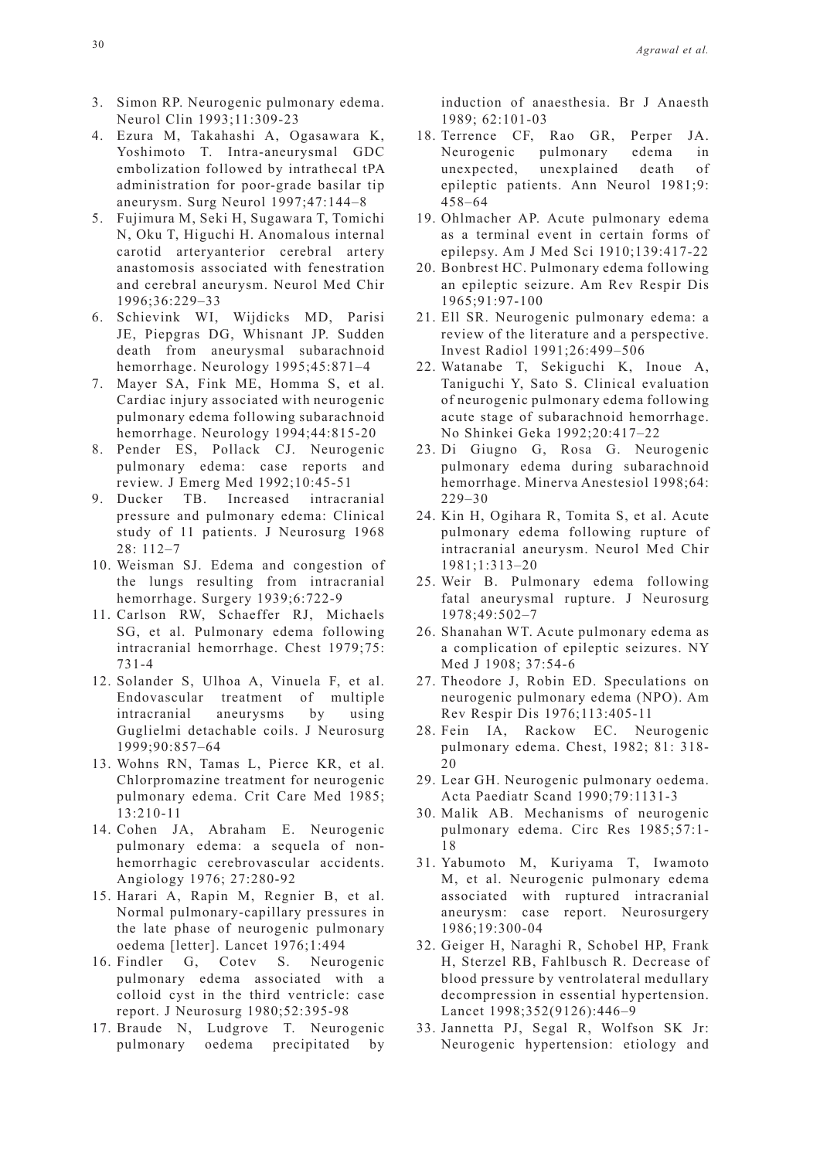- 3. Simon RP. Neurogenic pulmonary edema. Neurol Clin 1993;11:309-23
- 4. Ezura M, Takahashi A, Ogasawara K, Yoshimoto T. Intra-aneurysmal GDC embolization followed by intrathecal tPA administration for poor-grade basilar tip aneurysm. Surg Neurol 1997;47:144–8
- 5. Fujimura M, Seki H, Sugawara T, Tomichi N, Oku T, Higuchi H. Anomalous internal carotid arteryanterior cerebral artery anastomosis associated with fenestration and cerebral aneurysm. Neurol Med Chir 1996;36:229–33
- 6. Schievink WI, Wijdicks MD, Parisi JE, Piepgras DG, Whisnant JP. Sudden death from aneurysmal subarachnoid hemorrhage. Neurology 1995;45:871–4
- 7. Mayer SA, Fink ME, Homma S, et al. Cardiac injury associated with neurogenic pulmonary edema following subarachnoid hemorrhage. Neurology 1994;44:815-20
- 8. Pender ES, Pollack CJ. Neurogenic pulmonary edema: case reports and review. J Emerg Med 1992;10:45-51
- 9. Ducker TB. Increased intracranial pressure and pulmonary edema: Clinical study of 11 patients. J Neurosurg 1968 28: 112–7
- 10. Weisman SJ. Edema and congestion of the lungs resulting from intracranial hemorrhage. Surgery 1939;6:722-9
- 11. Carlson RW, Schaeffer RJ, Michaels SG, et al. Pulmonary edema following intracranial hemorrhage. Chest 1979;75: 731-4
- 12. Solander S, Ulhoa A, Vinuela F, et al. Endovascular treatment of multiple intracranial aneurysms by using Guglielmi detachable coils. J Neurosurg 1999;90:857–64
- 13. Wohns RN, Tamas L, Pierce KR, et al. Chlorpromazine treatment for neurogenic pulmonary edema. Crit Care Med 1985; 13:210-11
- 14. Cohen JA, Abraham E. Neurogenic pulmonary edema: a sequela of nonhemorrhagic cerebrovascular accidents. Angiology 1976; 27:280-92
- 15. Harari A, Rapin M, Regnier B, et al. Normal pulmonary-capillary pressures in the late phase of neurogenic pulmonary oedema [letter]. Lancet 1976;1:494
- 16. Findler G, Cotev S. Neurogenic pulmonary edema associated with a colloid cyst in the third ventricle: case report. J Neurosurg 1980;52:395-98
- 17. Braude N, Ludgrove T. Neurogenic pulmonary oedema precipitated by

induction of anaesthesia. Br J Anaesth 1989; 62:101-03

- 18. Terrence CF, Rao GR, Perper JA. Neurogenic pulmonary edema in unexpected, unexplained death of epileptic patients. Ann Neurol 1981;9: 458–64
- 19. Ohlmacher AP. Acute pulmonary edema as a terminal event in certain forms of epilepsy. Am J Med Sci 1910;139:417-22
- 20. Bonbrest HC. Pulmonary edema following an epileptic seizure. Am Rev Respir Dis 1965;91:97-100
- 21. Ell SR. Neurogenic pulmonary edema: a review of the literature and a perspective. Invest Radiol 1991;26:499–506
- 22. Watanabe T, Sekiguchi K, Inoue A, Taniguchi Y, Sato S. Clinical evaluation of neurogenic pulmonary edema following acute stage of subarachnoid hemorrhage. No Shinkei Geka 1992;20:417–22
- 23. Di Giugno G, Rosa G. Neurogenic pulmonary edema during subarachnoid hemorrhage. Minerva Anestesiol 1998;64: 229–30
- 24. Kin H, Ogihara R, Tomita S, et al. Acute pulmonary edema following rupture of intracranial aneurysm. Neurol Med Chir 1981;1:313–20
- 25. Weir B. Pulmonary edema following fatal aneurysmal rupture. J Neurosurg 1978;49:502–7
- 26. Shanahan WT. Acute pulmonary edema as a complication of epileptic seizures. NY Med J 1908; 37:54-6
- 27. Theodore J, Robin ED. Speculations on neurogenic pulmonary edema (NPO). Am Rev Respir Dis 1976;113:405-11
- 28. Fein IA, Rackow EC. Neurogenic pulmonary edema. Chest, 1982; 81: 318- 20
- 29. Lear GH. Neurogenic pulmonary oedema. Acta Paediatr Scand 1990;79:1131-3
- 30. Malik AB. Mechanisms of neurogenic pulmonary edema. Circ Res 1985;57:1- 18
- 31. Yabumoto M, Kuriyama T, Iwamoto M, et al. Neurogenic pulmonary edema associated with ruptured intracranial aneurysm: case report. Neurosurgery 1986;19:300-04
- 32. Geiger H, Naraghi R, Schobel HP, Frank H, Sterzel RB, Fahlbusch R. Decrease of blood pressure by ventrolateral medullary decompression in essential hypertension. Lancet 1998;352(9126):446–9
- 33. Jannetta PJ, Segal R, Wolfson SK Jr: Neurogenic hypertension: etiology and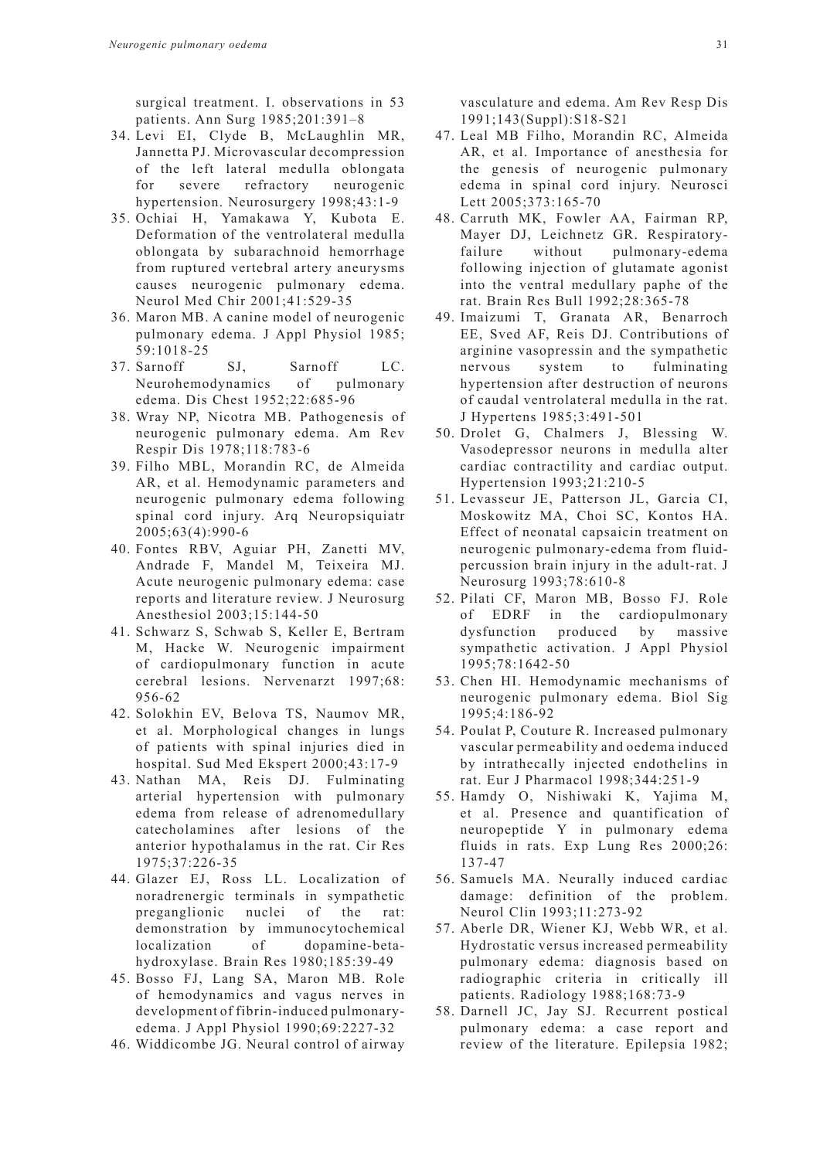surgical treatment. I. observations in 53 patients. Ann Surg 1985;201:391–8

- 34. Levi EI, Clyde B, McLaughlin MR, Jannetta PJ. Microvascular decompression of the left lateral medulla oblongata for severe refractory neurogenic hypertension. Neurosurgery 1998;43:1-9
- 35. Ochiai H, Yamakawa Y, Kubota E. Deformation of the ventrolateral medulla oblongata by subarachnoid hemorrhage from ruptured vertebral artery aneurysms causes neurogenic pulmonary edema. Neurol Med Chir 2001;41:529-35
- 36. Maron MB. A canine model of neurogenic pulmonary edema. J Appl Physiol 1985; 59:1018-25
- 37. Sarnoff SJ, Sarnoff LC. Neurohemodynamics of pulmonary edema. Dis Chest 1952;22:685-96
- 38. Wray NP, Nicotra MB. Pathogenesis of neurogenic pulmonary edema. Am Rev Respir Dis 1978;118:783-6
- 39. Filho MBL, Morandin RC, de Almeida AR, et al. Hemodynamic parameters and neurogenic pulmonary edema following spinal cord injury. Arq Neuropsiquiatr 2005;63(4):990-6
- 40. Fontes RBV, Aguiar PH, Zanetti MV, Andrade F, Mandel M, Teixeira MJ. Acute neurogenic pulmonary edema: case reports and literature review. J Neurosurg Anesthesiol 2003;15:144-50
- 41. Schwarz S, Schwab S, Keller E, Bertram M, Hacke W. Neurogenic impairment of cardiopulmonary function in acute cerebral lesions. Nervenarzt 1997;68: 956-62
- 42. Solokhin EV, Belova TS, Naumov MR, et al. Morphological changes in lungs of patients with spinal injuries died in hospital. Sud Med Ekspert 2000;43:17-9
- 43. Nathan MA, Reis DJ. Fulminating arterial hypertension with pulmonary edema from release of adrenomedullary catecholamines after lesions of the anterior hypothalamus in the rat. Cir Res 1975;37:226-35
- 44. Glazer EJ, Ross LL. Localization of noradrenergic terminals in sympathetic preganglionic nuclei of the rat: demonstration by immunocytochemical localization of dopamine-betahydroxylase. Brain Res 1980;185:39-49
- 45. Bosso FJ, Lang SA, Maron MB. Role of hemodynamics and vagus nerves in development of fibrin-induced pulmonaryedema. J Appl Physiol 1990;69:2227-32
- 46. Widdicombe JG. Neural control of airway

vasculature and edema. Am Rev Resp Dis 1991;143(Suppl):S18-S21

- 47. Leal MB Filho, Morandin RC, Almeida AR, et al. Importance of anesthesia for the genesis of neurogenic pulmonary edema in spinal cord injury. Neurosci Lett 2005;373:165-70
- 48. Carruth MK, Fowler AA, Fairman RP, Mayer DJ, Leichnetz GR. Respiratoryfailure without pulmonary-edema following injection of glutamate agonist into the ventral medullary paphe of the rat. Brain Res Bull 1992;28:365-78
- 49. Imaizumi T, Granata AR, Benarroch EE, Sved AF, Reis DJ. Contributions of arginine vasopressin and the sympathetic nervous system to fulminating hypertension after destruction of neurons of caudal ventrolateral medulla in the rat. J Hypertens 1985;3:491-501
- 50. Drolet G, Chalmers J, Blessing W. Vasodepressor neurons in medulla alter cardiac contractility and cardiac output. Hypertension 1993;21:210-5
- 51. Levasseur JE, Patterson JL, Garcia CI, Moskowitz MA, Choi SC, Kontos HA. Effect of neonatal capsaicin treatment on neurogenic pulmonary-edema from fluidpercussion brain injury in the adult-rat. J Neurosurg 1993;78:610-8
- 52. Pilati CF, Maron MB, Bosso FJ. Role of EDRF in the cardiopulmonary dysfunction produced by massive sympathetic activation. J Appl Physiol 1995;78:1642-50
- 53. Chen HI. Hemodynamic mechanisms of neurogenic pulmonary edema. Biol Sig 1995;4:186-92
- 54. Poulat P, Couture R. Increased pulmonary vascular permeability and oedema induced by intrathecally injected endothelins in rat. Eur J Pharmacol 1998;344:251-9
- 55. Hamdy O, Nishiwaki K, Yajima M, et al. Presence and quantification of neuropeptide Y in pulmonary edema fluids in rats. Exp Lung Res 2000;26: 137-47
- 56. Samuels MA. Neurally induced cardiac damage: definition of the problem. Neurol Clin 1993;11:273-92
- 57. Aberle DR, Wiener KJ, Webb WR, et al. Hydrostatic versus increased permeability pulmonary edema: diagnosis based on radiographic criteria in critically ill patients. Radiology 1988;168:73-9
- 58. Darnell JC, Jay SJ. Recurrent postical pulmonary edema: a case report and review of the literature. Epilepsia 1982;